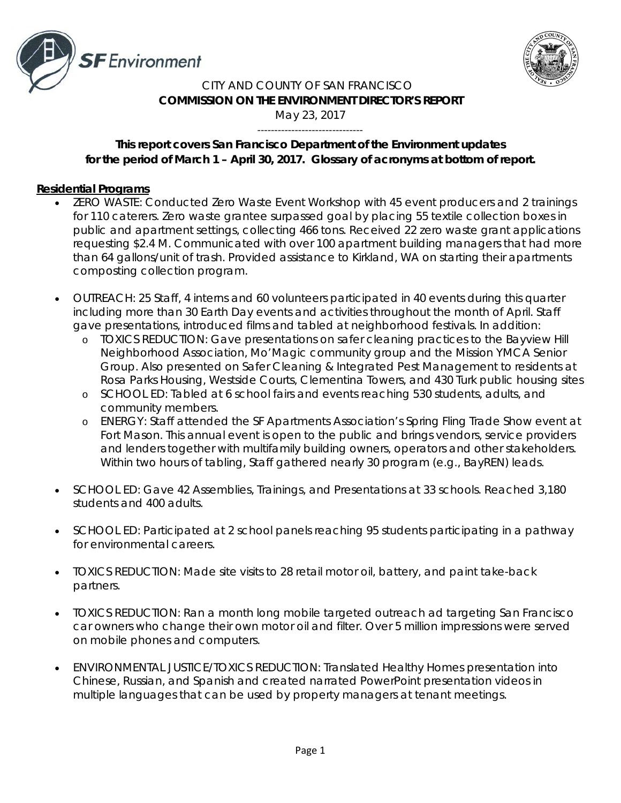



#### CITY AND COUNTY OF SAN FRANCISCO **COMMISSION ON THE ENVIRONMENT DIRECTOR'S REPORT** May 23, 2017

# *This report covers San Francisco Department of the Environment updates for the period of March 1 – April 30, 2017. Glossary of acronyms at bottom of report.*

-------------------------------

### **Residential Programs**

- ZERO WASTE: Conducted Zero Waste Event Workshop with 45 event producers and 2 trainings for 110 caterers. Zero waste grantee surpassed goal by placing 55 textile collection boxes in public and apartment settings, collecting 466 tons. Received 22 zero waste grant applications requesting \$2.4 M. Communicated with over 100 apartment building managers that had more than 64 gallons/unit of trash. Provided assistance to Kirkland, WA on starting their apartments composting collection program.
- OUTREACH: 25 Staff, 4 interns and 60 volunteers participated in 40 events during this quarter including more than 30 Earth Day events and activities throughout the month of April. Staff gave presentations, introduced films and tabled at neighborhood festivals. In addition:
	- o TOXICS REDUCTION: Gave presentations on safer cleaning practices to the Bayview Hill Neighborhood Association, Mo'Magic community group and the Mission YMCA Senior Group. Also presented on Safer Cleaning & Integrated Pest Management to residents at Rosa Parks Housing, Westside Courts, Clementina Towers, and 430 Turk public housing sites
	- o SCHOOL ED: Tabled at 6 school fairs and events reaching 530 students, adults, and community members.
	- o ENERGY: Staff attended the SF Apartments Association's Spring Fling Trade Show event at Fort Mason. This annual event is open to the public and brings vendors, service providers and lenders together with multifamily building owners, operators and other stakeholders. Within two hours of tabling, Staff gathered nearly 30 program (e.g., BayREN) leads.
- SCHOOL ED: Gave 42 Assemblies, Trainings, and Presentations at 33 schools. Reached 3,180 students and 400 adults.
- SCHOOL ED: Participated at 2 school panels reaching 95 students participating in a pathway for environmental careers.
- TOXICS REDUCTION: Made site visits to 28 retail motor oil, battery, and paint take-back partners.
- TOXICS REDUCTION: Ran a month long mobile targeted outreach ad targeting San Francisco car owners who change their own motor oil and filter. Over 5 million impressions were served on mobile phones and computers.
- ENVIRONMENTAL JUSTICE/TOXICS REDUCTION: Translated Healthy Homes presentation into Chinese, Russian, and Spanish and created narrated PowerPoint presentation videos in multiple languages that can be used by property managers at tenant meetings.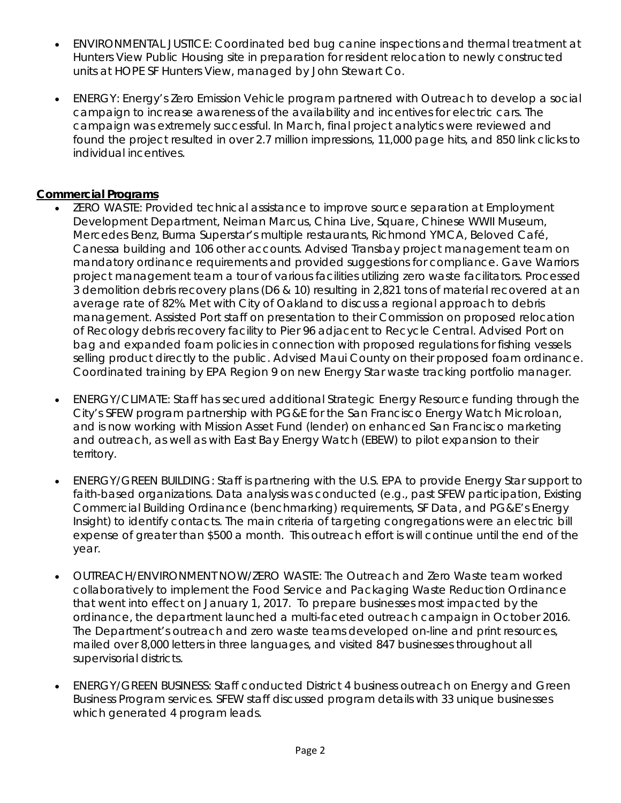- ENVIRONMENTAL JUSTICE: Coordinated bed bug canine inspections and thermal treatment at Hunters View Public Housing site in preparation for resident relocation to newly constructed units at HOPE SF Hunters View, managed by John Stewart Co.
- ENERGY: Energy's Zero Emission Vehicle program partnered with Outreach to develop a social campaign to increase awareness of the availability and incentives for electric cars. The campaign was extremely successful. In March, final project analytics were reviewed and found the project resulted in over 2.7 million impressions, 11,000 page hits, and 850 link clicks to individual incentives.

### **Commercial Programs**

- ZERO WASTE: Provided technical assistance to improve source separation at Employment Development Department, Neiman Marcus, China Live, Square, Chinese WWII Museum, Mercedes Benz, Burma Superstar's multiple restaurants, Richmond YMCA, Beloved Café, Canessa building and 106 other accounts. Advised Transbay project management team on mandatory ordinance requirements and provided suggestions for compliance. Gave Warriors project management team a tour of various facilities utilizing zero waste facilitators. Processed 3 demolition debris recovery plans (D6 & 10) resulting in 2,821 tons of material recovered at an average rate of 82%. Met with City of Oakland to discuss a regional approach to debris management. Assisted Port staff on presentation to their Commission on proposed relocation of Recology debris recovery facility to Pier 96 adjacent to Recycle Central. Advised Port on bag and expanded foam policies in connection with proposed regulations for fishing vessels selling product directly to the public. Advised Maui County on their proposed foam ordinance. Coordinated training by EPA Region 9 on new Energy Star waste tracking portfolio manager.
- ENERGY/CLIMATE: Staff has secured additional Strategic Energy Resource funding through the City's SFEW program partnership with PG&E for the San Francisco Energy Watch Microloan, and is now working with Mission Asset Fund (lender) on enhanced San Francisco marketing and outreach, as well as with East Bay Energy Watch (EBEW) to pilot expansion to their territory.
- ENERGY/GREEN BUILDING: Staff is partnering with the U.S. EPA to provide Energy Star support to faith-based organizations. Data analysis was conducted (e.g., past SFEW participation, Existing Commercial Building Ordinance (benchmarking) requirements, SF Data, and PG&E's Energy Insight) to identify contacts. The main criteria of targeting congregations were an electric bill expense of greater than \$500 a month. This outreach effort is will continue until the end of the year.
- OUTREACH/ENVIRONMENT NOW/ZERO WASTE: The Outreach and Zero Waste team worked collaboratively to implement the Food Service and Packaging Waste Reduction Ordinance that went into effect on January 1, 2017. To prepare businesses most impacted by the ordinance, the department launched a multi-faceted outreach campaign in October 2016. The Department's outreach and zero waste teams developed on-line and print resources, mailed over 8,000 letters in three languages, and visited 847 businesses throughout all supervisorial districts.
- ENERGY/GREEN BUSINESS: Staff conducted District 4 business outreach on Energy and Green Business Program services. SFEW staff discussed program details with 33 unique businesses which generated 4 program leads.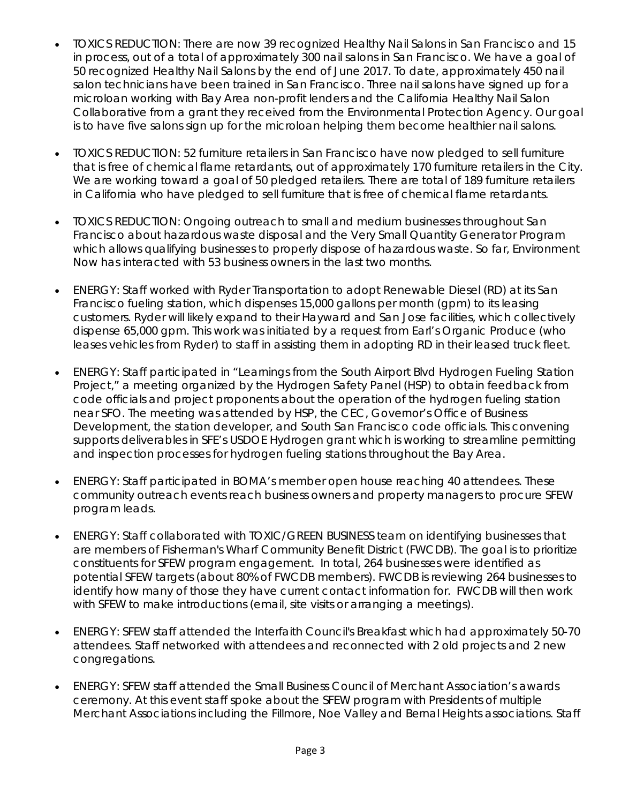- TOXICS REDUCTION: There are now 39 recognized Healthy Nail Salons in San Francisco and 15 in process, out of a total of approximately 300 nail salons in San Francisco. We have a goal of 50 recognized Healthy Nail Salons by the end of June 2017. To date, approximately 450 nail salon technicians have been trained in San Francisco. Three nail salons have signed up for a microloan working with Bay Area non-profit lenders and the California Healthy Nail Salon Collaborative from a grant they received from the Environmental Protection Agency. Our goal is to have five salons sign up for the microloan helping them become healthier nail salons.
- TOXICS REDUCTION: 52 furniture retailers in San Francisco have now pledged to sell furniture that is free of chemical flame retardants, out of approximately 170 furniture retailers in the City. We are working toward a goal of 50 pledged retailers. There are total of 189 furniture retailers in California who have pledged to sell furniture that is free of chemical flame retardants.
- TOXICS REDUCTION: Ongoing outreach to small and medium businesses throughout San Francisco about hazardous waste disposal and the Very Small Quantity Generator Program which allows qualifying businesses to properly dispose of hazardous waste. So far, Environment Now has interacted with 53 business owners in the last two months.
- ENERGY: Staff worked with Ryder Transportation to adopt Renewable Diesel (RD) at its San Francisco fueling station, which dispenses 15,000 gallons per month (gpm) to its leasing customers. Ryder will likely expand to their Hayward and San Jose facilities, which collectively dispense 65,000 gpm. This work was initiated by a request from Earl's Organic Produce (who leases vehicles from Ryder) to staff in assisting them in adopting RD in their leased truck fleet.
- ENERGY: Staff participated in "Learnings from the South Airport Blvd Hydrogen Fueling Station Project," a meeting organized by the Hydrogen Safety Panel (HSP) to obtain feedback from code officials and project proponents about the operation of the hydrogen fueling station near SFO. The meeting was attended by HSP, the CEC, Governor's Office of Business Development, the station developer, and South San Francisco code officials. This convening supports deliverables in SFE's USDOE Hydrogen grant which is working to streamline permitting and inspection processes for hydrogen fueling stations throughout the Bay Area.
- ENERGY: Staff participated in BOMA's member open house reaching 40 attendees. These community outreach events reach business owners and property managers to procure SFEW program leads.
- ENERGY: Staff collaborated with TOXIC/GREEN BUSINESS team on identifying businesses that are members of Fisherman's Wharf Community Benefit District (FWCDB). The goal is to prioritize constituents for SFEW program engagement. In total, 264 businesses were identified as potential SFEW targets (about 80% of FWCDB members). FWCDB is reviewing 264 businesses to identify how many of those they have current contact information for. FWCDB will then work with SFEW to make introductions (email, site visits or arranging a meetings).
- ENERGY: SFEW staff attended the Interfaith Council's Breakfast which had approximately 50-70 attendees. Staff networked with attendees and reconnected with 2 old projects and 2 new congregations.
- ENERGY: SFEW staff attended the Small Business Council of Merchant Association's awards ceremony. At this event staff spoke about the SFEW program with Presidents of multiple Merchant Associations including the Fillmore, Noe Valley and Bernal Heights associations. Staff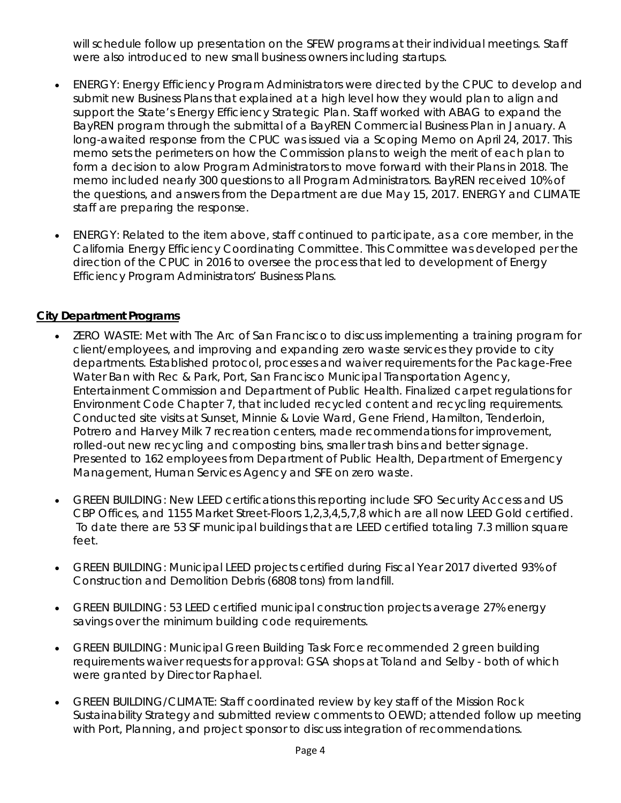will schedule follow up presentation on the SFEW programs at their individual meetings. Staff were also introduced to new small business owners including startups.

- ENERGY: Energy Efficiency Program Administrators were directed by the CPUC to develop and submit new Business Plans that explained at a high level how they would plan to align and support the State's Energy Efficiency Strategic Plan. Staff worked with ABAG to expand the BayREN program through the submittal of a BayREN Commercial Business Plan in January. A long-awaited response from the CPUC was issued via a Scoping Memo on April 24, 2017. This memo sets the perimeters on how the Commission plans to weigh the merit of each plan to form a decision to alow Program Administrators to move forward with their Plans in 2018. The memo included nearly 300 questions to all Program Administrators. BayREN received 10% of the questions, and answers from the Department are due May 15, 2017. ENERGY and CLIMATE staff are preparing the response.
- ENERGY: Related to the item above, staff continued to participate, as a core member, in the California Energy Efficiency Coordinating Committee. This Committee was developed per the direction of the CPUC in 2016 to oversee the process that led to development of Energy Efficiency Program Administrators' Business Plans.

## **City Department Programs**

- ZERO WASTE: Met with The Arc of San Francisco to discuss implementing a training program for client/employees, and improving and expanding zero waste services they provide to city departments. Established protocol, processes and waiver requirements for the Package-Free Water Ban with Rec & Park, Port, San Francisco Municipal Transportation Agency, Entertainment Commission and Department of Public Health. Finalized carpet regulations for Environment Code Chapter 7, that included recycled content and recycling requirements. Conducted site visits at Sunset, Minnie & Lovie Ward, Gene Friend, Hamilton, Tenderloin, Potrero and Harvey Milk 7 recreation centers, made recommendations for improvement, rolled-out new recycling and composting bins, smaller trash bins and better signage. Presented to 162 employees from Department of Public Health, Department of Emergency Management, Human Services Agency and SFE on zero waste.
- GREEN BUILDING: New LEED certifications this reporting include SFO Security Access and US CBP Offices, and 1155 Market Street-Floors 1,2,3,4,5,7,8 which are all now LEED Gold certified. To date there are 53 SF municipal buildings that are LEED certified totaling 7.3 million square feet.
- GREEN BUILDING: Municipal LEED projects certified during Fiscal Year 2017 diverted 93% of Construction and Demolition Debris (6808 tons) from landfill.
- GREEN BUILDING: 53 LEED certified municipal construction projects average 27% energy savings over the minimum building code requirements.
- GREEN BUILDING: Municipal Green Building Task Force recommended 2 green building requirements waiver requests for approval: GSA shops at Toland and Selby - both of which were granted by Director Raphael.
- GREEN BUILDING/CLIMATE: Staff coordinated review by key staff of the Mission Rock Sustainability Strategy and submitted review comments to OEWD; attended follow up meeting with Port, Planning, and project sponsor to discuss integration of recommendations.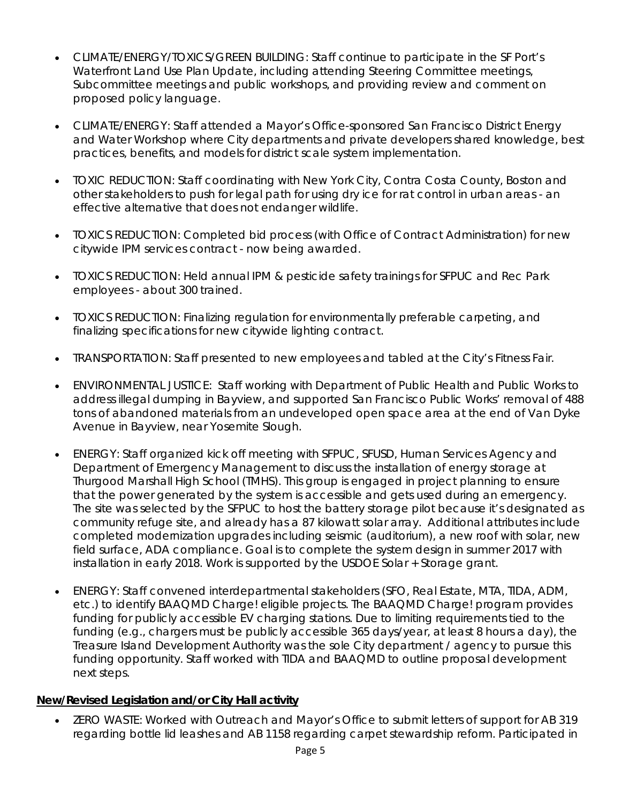- CLIMATE/ENERGY/TOXICS/GREEN BUILDING: Staff continue to participate in the SF Port's Waterfront Land Use Plan Update, including attending Steering Committee meetings, Subcommittee meetings and public workshops, and providing review and comment on proposed policy language.
- CLIMATE/ENERGY: Staff attended a Mayor's Office-sponsored San Francisco District Energy and Water Workshop where City departments and private developers shared knowledge, best practices, benefits, and models for district scale system implementation.
- TOXIC REDUCTION: Staff coordinating with New York City, Contra Costa County, Boston and other stakeholders to push for legal path for using dry ice for rat control in urban areas - an effective alternative that does not endanger wildlife.
- TOXICS REDUCTION: Completed bid process (with Office of Contract Administration) for new citywide IPM services contract - now being awarded.
- TOXICS REDUCTION: Held annual IPM & pesticide safety trainings for SFPUC and Rec Park employees - about 300 trained.
- TOXICS REDUCTION: Finalizing regulation for environmentally preferable carpeting, and finalizing specifications for new citywide lighting contract.
- TRANSPORTATION: Staff presented to new employees and tabled at the City's Fitness Fair.
- ENVIRONMENTAL JUSTICE: Staff working with Department of Public Health and Public Works to address illegal dumping in Bayview, and supported San Francisco Public Works' removal of 488 tons of abandoned materials from an undeveloped open space area at the end of Van Dyke Avenue in Bayview, near Yosemite Slough.
- ENERGY: Staff organized kick off meeting with SFPUC, SFUSD, Human Services Agency and Department of Emergency Management to discuss the installation of energy storage at Thurgood Marshall High School (TMHS). This group is engaged in project planning to ensure that the power generated by the system is accessible and gets used during an emergency. The site was selected by the SFPUC to host the battery storage pilot because it's designated as community refuge site, and already has a 87 kilowatt solar array. Additional attributes include completed modernization upgrades including seismic (auditorium), a new roof with solar, new field surface, ADA compliance. Goal is to complete the system design in summer 2017 with installation in early 2018. Work is supported by the USDOE Solar + Storage grant.
- ENERGY: Staff convened interdepartmental stakeholders (SFO, Real Estate, MTA, TIDA, ADM, etc.) to identify BAAQMD Charge! eligible projects. The BAAQMD Charge! program provides funding for publicly accessible EV charging stations. Due to limiting requirements tied to the funding (e.g., chargers must be publicly accessible 365 days/year, at least 8 hours a day), the Treasure Island Development Authority was the sole City department / agency to pursue this funding opportunity. Staff worked with TIDA and BAAQMD to outline proposal development next steps.

### **New/Revised Legislation and/or City Hall activity**

• ZERO WASTE: Worked with Outreach and Mayor's Office to submit letters of support for AB 319 regarding bottle lid leashes and AB 1158 regarding carpet stewardship reform. Participated in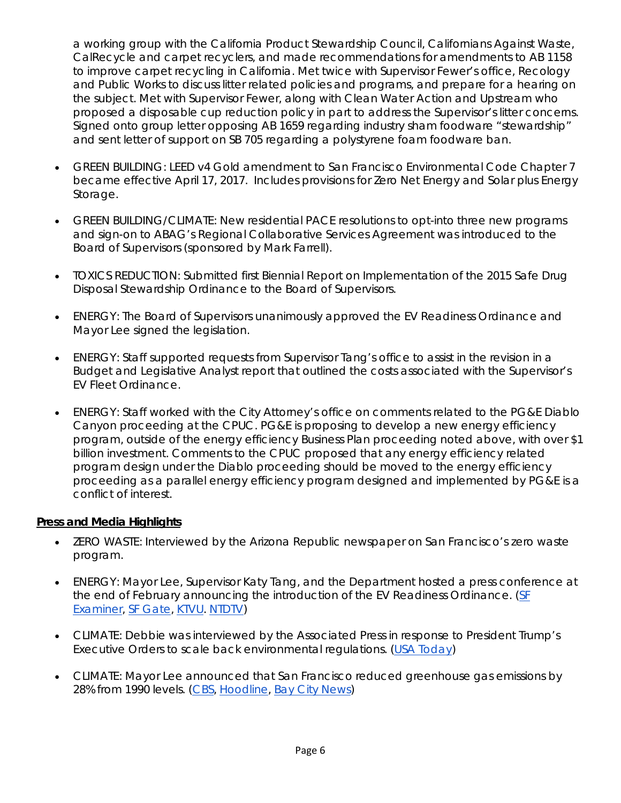a working group with the California Product Stewardship Council, Californians Against Waste, CalRecycle and carpet recyclers, and made recommendations for amendments to AB 1158 to improve carpet recycling in California. Met twice with Supervisor Fewer's office, Recology and Public Works to discuss litter related policies and programs, and prepare for a hearing on the subject. Met with Supervisor Fewer, along with Clean Water Action and Upstream who proposed a disposable cup reduction policy in part to address the Supervisor's litter concerns. Signed onto group letter opposing AB 1659 regarding industry sham foodware "stewardship" and sent letter of support on SB 705 regarding a polystyrene foam foodware ban.

- GREEN BUILDING: LEED v4 Gold amendment to San Francisco Environmental Code Chapter 7 became effective April 17, 2017. Includes provisions for Zero Net Energy and Solar plus Energy Storage.
- GREEN BUILDING/CLIMATE: New residential PACE resolutions to opt-into three new programs and sign-on to ABAG's Regional Collaborative Services Agreement was introduced to the Board of Supervisors (sponsored by Mark Farrell).
- TOXICS REDUCTION: Submitted first Biennial Report on Implementation of the 2015 Safe Drug Disposal Stewardship Ordinance to the Board of Supervisors.
- ENERGY: The Board of Supervisors unanimously approved the EV Readiness Ordinance and Mayor Lee signed the legislation.
- ENERGY: Staff supported requests from Supervisor Tang's office to assist in the revision in a Budget and Legislative Analyst report that outlined the costs associated with the Supervisor's EV Fleet Ordinance.
- ENERGY: Staff worked with the City Attorney's office on comments related to the PG&E Diablo Canyon proceeding at the CPUC. PG&E is proposing to develop a new energy efficiency program, outside of the energy efficiency Business Plan proceeding noted above, with over \$1 billion investment. Comments to the CPUC proposed that any energy efficiency related program design under the Diablo proceeding should be moved to the energy efficiency proceeding as a parallel energy efficiency program designed and implemented by PG&E is a conflict of interest.

### **Press and Media Highlights**

- ZERO WASTE: Interviewed by the Arizona Republic newspaper on San Francisco's zero waste program.
- ENERGY: Mayor Lee, Supervisor Katy Tang, and the Department hosted a press conference at the end of February announcing the introduction of the EV Readiness Ordinance. (SF [Examiner,](http://www.sfexaminer.com/proposed-law-require-ev-charging-new-development/) [SF Gate,](http://www.sfgate.com/news/bayarea/article/Mayor-Tang-Push-For-Increased-Electric-Vehicle-10967309.php) [KTVU.](http://www.ktvu.com/news/238802471-story) [NTDTV\)](http://www.ntdtv.com/xtr/gb/2017/03/01/a1313869.html)
- CLIMATE: Debbie was interviewed by the Associated Press in response to President Trump's Executive Orders to scale back environmental regulations. [\(USA Today\)](https://www.usatoday.com/videos/news/nation/2017/03/29/calif.-leaders-pushing-ahead-climate-policy/99801186/)
- CLIMATE: Mayor Lee announced that San Francisco reduced greenhouse gas emissions by 28% from 1990 levels. [\(CBS,](http://sanfrancisco.cbslocal.com/2017/04/19/san-francisco-greenhouse-gas-reduction-goal-reached-early/) [Hoodline,](http://hoodline.com/2017/04/san-francisco-hits-greenhouse-gas-reduction-goal-2-years-early) [Bay City News\)](https://sfbay.ca/2017/04/19/san-francisco-cuts-greenhouse-gases-faster-than-planned/)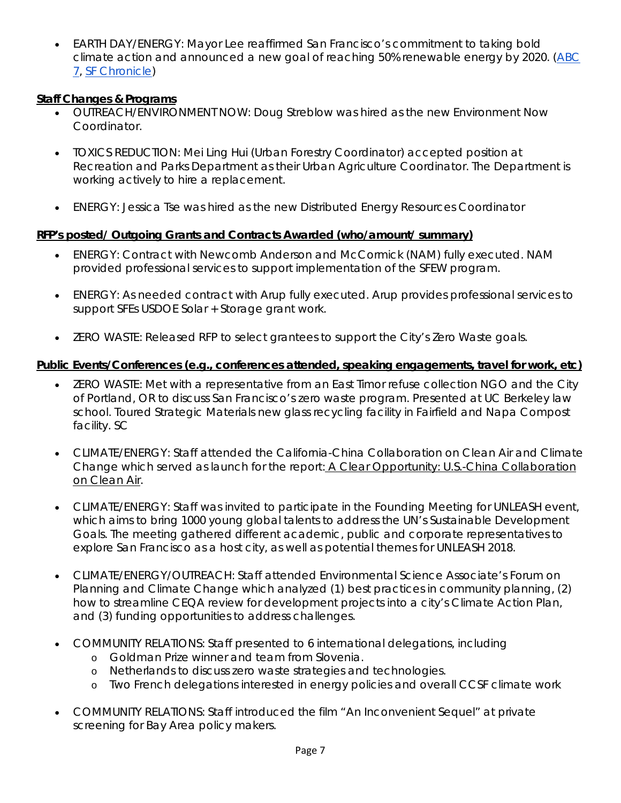• EARTH DAY/ENERGY: Mayor Lee reaffirmed San Francisco's commitment to taking bold climate action and announced a new goal of reaching 50% renewable energy by 2020. [\(ABC](http://abc7news.com/science/san-francisco-earth-day-event-takes-on-political-tone/1897178/)  [7,](http://abc7news.com/science/san-francisco-earth-day-event-takes-on-political-tone/1897178/) [SF Chronicle\)](http://www.sfchronicle.com/bayarea/article/SF-s-green-energy-goal-is-a-decade-ahead-of-11084954.php)

### **Staff Changes & Programs**

- OUTREACH/ENVIRONMENT NOW: Doug Streblow was hired as the new Environment Now Coordinator.
- TOXICS REDUCTION: Mei Ling Hui (Urban Forestry Coordinator) accepted position at Recreation and Parks Department as their Urban Agriculture Coordinator. The Department is working actively to hire a replacement.
- ENERGY: Jessica Tse was hired as the new Distributed Energy Resources Coordinator

## **RFP's posted/ Outgoing Grants and Contracts Awarded (who/amount/ summary)**

- ENERGY: Contract with Newcomb Anderson and McCormick (NAM) fully executed. NAM provided professional services to support implementation of the SFEW program.
- ENERGY: As needed contract with Arup fully executed. Arup provides professional services to support SFEs USDOE Solar + Storage grant work.
- ZERO WASTE: Released RFP to select grantees to support the City's Zero Waste goals.

## **Public Events/Conferences (e.g., conferences attended, speaking engagements, travel for work, etc)**

- ZERO WASTE: Met with a representative from an East Timor refuse collection NGO and the City of Portland, OR to discuss San Francisco's zero waste program. Presented at UC Berkeley law school. Toured Strategic Materials new glass recycling facility in Fairfield and Napa Compost facility. SC
- CLIMATE/ENERGY: Staff attended the California-China Collaboration on Clean Air and Climate Change which served as launch for the report: [A Clear Opportunity: U.S.-China Collaboration](http://www.asiasociety.org/aclearopportunity)  [on Clean Air.](http://www.asiasociety.org/aclearopportunity)
- CLIMATE/ENERGY: Staff was invited to participate in the Founding Meeting for UNLEASH event, which aims to bring 1000 young global talents to address the UN's Sustainable Development Goals. The meeting gathered different academic, public and corporate representatives to explore San Francisco as a host city, as well as potential themes for UNLEASH 2018.
- CLIMATE/ENERGY/OUTREACH: Staff attended Environmental Science Associate's Forum on Planning and Climate Change which analyzed (1) best practices in community planning, (2) how to streamline CEQA review for development projects into a city's Climate Action Plan, and (3) funding opportunities to address challenges.
- COMMUNITY RELATIONS: Staff presented to 6 international delegations, including
	- o Goldman Prize winner and team from Slovenia.
	- o Netherlands to discuss zero waste strategies and technologies.
	- o Two French delegations interested in energy policies and overall CCSF climate work
- COMMUNITY RELATIONS: Staff introduced the film "An Inconvenient Sequel" at private screening for Bay Area policy makers.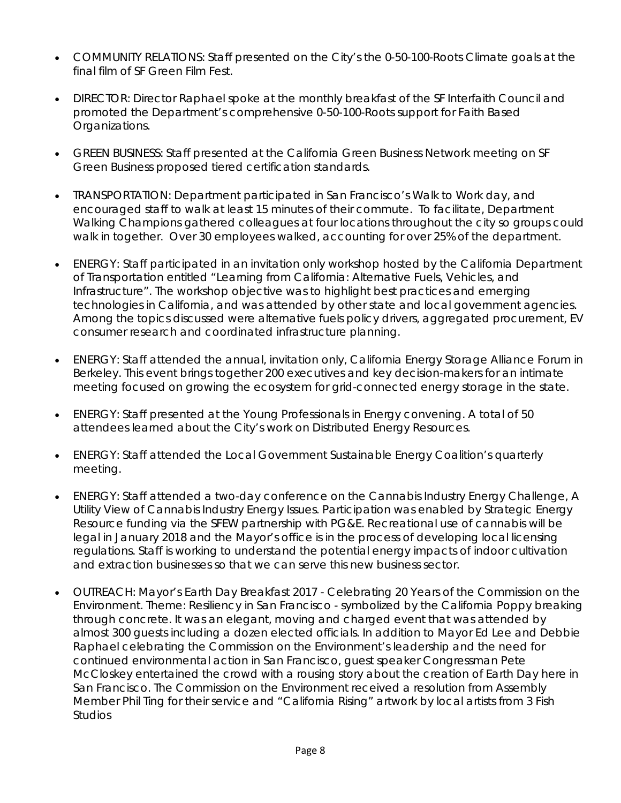- COMMUNITY RELATIONS: Staff presented on the City's the 0-50-100-Roots Climate goals at the final film of SF Green Film Fest.
- DIRECTOR: Director Raphael spoke at the monthly breakfast of the SF Interfaith Council and promoted the Department's comprehensive 0-50-100-Roots support for Faith Based Organizations.
- GREEN BUSINESS: Staff presented at the California Green Business Network meeting on SF Green Business proposed tiered certification standards.
- TRANSPORTATION: Department participated in San Francisco's Walk to Work day, and encouraged staff to walk at least 15 minutes of their commute. To facilitate, Department Walking Champions gathered colleagues at four locations throughout the city so groups could walk in together. Over 30 employees walked, accounting for over 25% of the department.
- ENERGY: Staff participated in an invitation only workshop hosted by the California Department of Transportation entitled "Learning from California: Alternative Fuels, Vehicles, and Infrastructure". The workshop objective was to highlight best practices and emerging technologies in California, and was attended by other state and local government agencies. Among the topics discussed were alternative fuels policy drivers, aggregated procurement, EV consumer research and coordinated infrastructure planning.
- ENERGY: Staff attended the annual, invitation only, California Energy Storage Alliance Forum in Berkeley. This event brings together 200 executives and key decision-makers for an intimate meeting focused on growing the ecosystem for grid-connected energy storage in the state.
- ENERGY: Staff presented at the Young Professionals in Energy convening. A total of 50 attendees learned about the City's work on Distributed Energy Resources.
- ENERGY: Staff attended the Local Government Sustainable Energy Coalition's quarterly meeting.
- ENERGY: Staff attended a two-day conference on the Cannabis Industry Energy Challenge, A Utility View of Cannabis Industry Energy Issues. Participation was enabled by Strategic Energy Resource funding via the SFEW partnership with PG&E. Recreational use of cannabis will be legal in January 2018 and the Mayor's office is in the process of developing local licensing regulations. Staff is working to understand the potential energy impacts of indoor cultivation and extraction businesses so that we can serve this new business sector.
- OUTREACH: Mayor's Earth Day Breakfast 2017 Celebrating 20 Years of the Commission on the Environment. Theme: Resiliency in San Francisco - symbolized by the California Poppy breaking through concrete. It was an elegant, moving and charged event that was attended by almost 300 guests including a dozen elected officials. In addition to Mayor Ed Lee and Debbie Raphael celebrating the Commission on the Environment's leadership and the need for continued environmental action in San Francisco, guest speaker Congressman Pete McCloskey entertained the crowd with a rousing story about the creation of Earth Day here in San Francisco. The Commission on the Environment received a resolution from Assembly Member Phil Ting for their service and "California Rising" artwork by local artists from 3 Fish Studios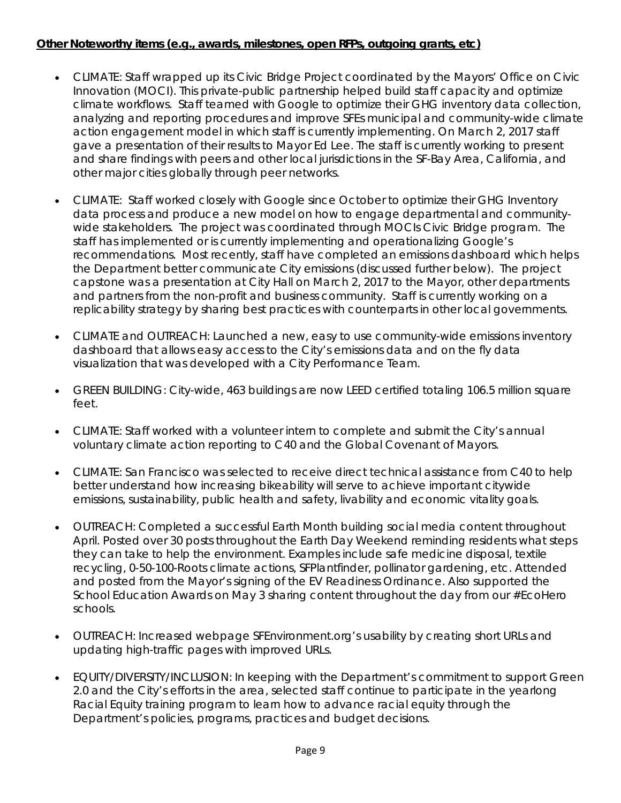## **Other Noteworthy items (e.g., awards, milestones, open RFPs, outgoing grants, etc)**

- CLIMATE: Staff wrapped up its Civic Bridge Project coordinated by the Mayors' Office on Civic Innovation (MOCI). This private-public partnership helped build staff capacity and optimize climate workflows. Staff teamed with Google to optimize their GHG inventory data collection, analyzing and reporting procedures and improve SFEs municipal and community-wide climate action engagement model in which staff is currently implementing. On March 2, 2017 staff gave a presentation of their results to Mayor Ed Lee. The staff is currently working to present and share findings with peers and other local jurisdictions in the SF-Bay Area, California, and other major cities globally through peer networks.
- CLIMATE: Staff worked closely with Google since October to optimize their GHG Inventory data process and produce a new model on how to engage departmental and communitywide stakeholders. The project was coordinated through MOCIs Civic Bridge program. The staff has implemented or is currently implementing and operationalizing Google's recommendations. Most recently, staff have completed an emissions dashboard which helps the Department better communicate City emissions (discussed further below). The project capstone was a presentation at City Hall on March 2, 2017 to the Mayor, other departments and partners from the non-profit and business community. Staff is currently working on a replicability strategy by sharing best practices with counterparts in other local governments.
- CLIMATE and OUTREACH: Launched a new, easy to use community-wide emissions inventory dashboard that allows easy access to the City's emissions data and on the fly data visualization that was developed with a City Performance Team.
- GREEN BUILDING: City-wide, 463 buildings are now LEED certified totaling 106.5 million square feet.
- CLIMATE: Staff worked with a volunteer intern to complete and submit the City's annual voluntary climate action reporting to C40 and the Global Covenant of Mayors.
- CLIMATE: San Francisco was selected to receive direct technical assistance from C40 to help better understand how increasing bikeability will serve to achieve important citywide emissions, sustainability, public health and safety, livability and economic vitality goals.
- OUTREACH: Completed a successful Earth Month building social media content throughout April. Posted over 30 posts throughout the Earth Day Weekend reminding residents what steps they can take to help the environment. Examples include safe medicine disposal, textile recycling, 0-50-100-Roots climate actions, SFPlantfinder, pollinator gardening, etc. Attended and posted from the Mayor's signing of the EV Readiness Ordinance. Also supported the School Education Awards on May 3 sharing content throughout the day from our #EcoHero schools.
- OUTREACH: Increased webpage SFEnvironment.org's usability by creating short URLs and updating high-traffic pages with improved URLs.
- EQUITY/DIVERSITY/INCLUSION: In keeping with the Department's commitment to support Green 2.0 and the City's efforts in the area, selected staff continue to participate in the yearlong Racial Equity training program to learn how to advance racial equity through the Department's policies, programs, practices and budget decisions.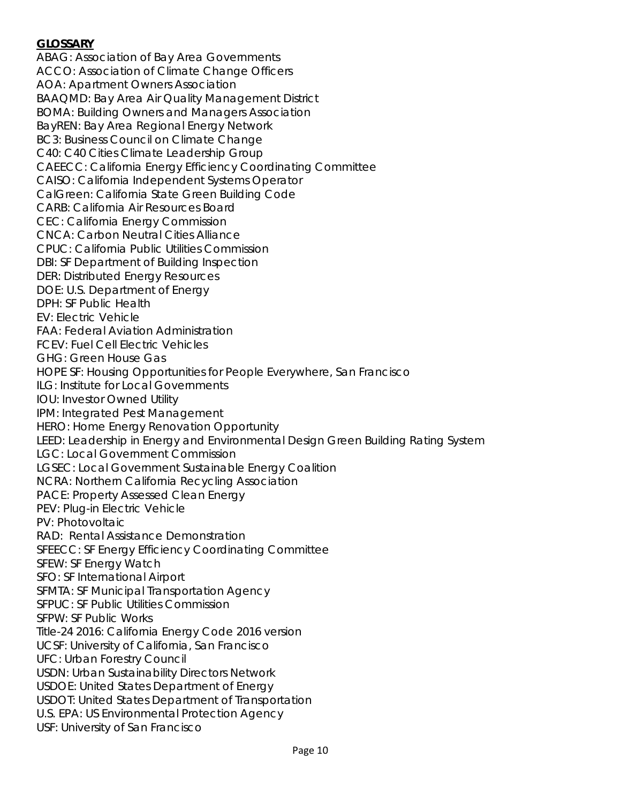## **GLOSSARY**

ABAG: Association of Bay Area Governments ACCO: Association of Climate Change Officers AOA: Apartment Owners Association BAAQMD: Bay Area Air Quality Management District BOMA: Building Owners and Managers Association BayREN: Bay Area Regional Energy Network BC3: Business Council on Climate Change C40: C40 Cities Climate Leadership Group CAEECC: California Energy Efficiency Coordinating Committee CAISO: California Independent Systems Operator CalGreen: California State Green Building Code CARB: California Air Resources Board CEC: California Energy Commission CNCA: Carbon Neutral Cities Alliance CPUC: California Public Utilities Commission DBI: SF Department of Building Inspection DER: Distributed Energy Resources DOE: U.S. Department of Energy DPH: SF Public Health EV: Electric Vehicle FAA: Federal Aviation Administration FCEV: Fuel Cell Electric Vehicles GHG: Green House Gas HOPE SF: Housing Opportunities for People Everywhere, San Francisco ILG: Institute for Local Governments IOU: Investor Owned Utility IPM: Integrated Pest Management HERO: Home Energy Renovation Opportunity LEED: Leadership in Energy and Environmental Design Green Building Rating System LGC: Local Government Commission LGSEC: Local Government Sustainable Energy Coalition NCRA: Northern California Recycling Association PACE: Property Assessed Clean Energy PEV: Plug-in Electric Vehicle PV: Photovoltaic RAD: Rental Assistance Demonstration SFEECC: SF Energy Efficiency Coordinating Committee SFEW: SF Energy Watch SFO: SF International Airport SFMTA: SF Municipal Transportation Agency SFPUC: SF Public Utilities Commission SFPW: SF Public Works Title-24 2016: California Energy Code 2016 version UCSF: University of California, San Francisco UFC: Urban Forestry Council USDN: Urban Sustainability Directors Network USDOE: United States Department of Energy USDOT: United States Department of Transportation U.S. EPA: US Environmental Protection Agency USF: University of San Francisco